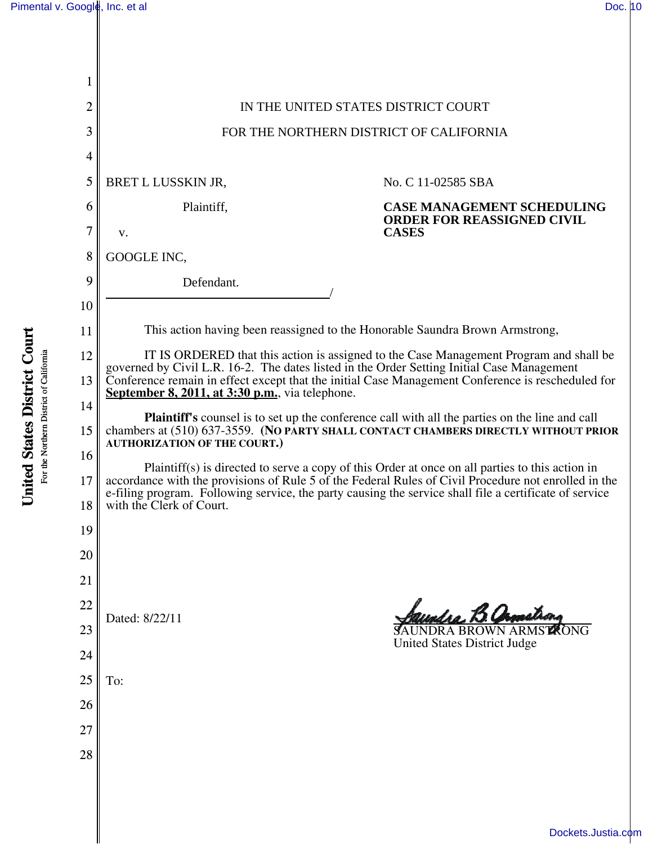| 2        | IN THE UNITED STATES DISTRICT COURT                                                                                                                                                                                                                                                                                                                                                                                                                                                                                                                                                 |                                                                                        |
|----------|-------------------------------------------------------------------------------------------------------------------------------------------------------------------------------------------------------------------------------------------------------------------------------------------------------------------------------------------------------------------------------------------------------------------------------------------------------------------------------------------------------------------------------------------------------------------------------------|----------------------------------------------------------------------------------------|
| 3        | FOR THE NORTHERN DISTRICT OF CALIFORNIA                                                                                                                                                                                                                                                                                                                                                                                                                                                                                                                                             |                                                                                        |
| 4        |                                                                                                                                                                                                                                                                                                                                                                                                                                                                                                                                                                                     |                                                                                        |
| 5        | BRET L LUSSKIN JR,                                                                                                                                                                                                                                                                                                                                                                                                                                                                                                                                                                  | No. C 11-02585 SBA                                                                     |
| 6        | Plaintiff,                                                                                                                                                                                                                                                                                                                                                                                                                                                                                                                                                                          | <b>CASE MANAGEMENT SCHEDULING</b><br><b>ORDER FOR REASSIGNED CIVIL</b><br><b>CASES</b> |
| 7        | V.                                                                                                                                                                                                                                                                                                                                                                                                                                                                                                                                                                                  |                                                                                        |
| 8        | GOOGLE INC,                                                                                                                                                                                                                                                                                                                                                                                                                                                                                                                                                                         |                                                                                        |
| 9        | Defendant.                                                                                                                                                                                                                                                                                                                                                                                                                                                                                                                                                                          |                                                                                        |
| 10       |                                                                                                                                                                                                                                                                                                                                                                                                                                                                                                                                                                                     |                                                                                        |
| 11       | This action having been reassigned to the Honorable Saundra Brown Armstrong,                                                                                                                                                                                                                                                                                                                                                                                                                                                                                                        |                                                                                        |
| 12       | IT IS ORDERED that this action is assigned to the Case Management Program and shall be<br>governed by Civil L.R. 16-2. The dates listed in the Order Setting Initial Case Management<br>Conference remain in effect except that the initial Case Management Conference is rescheduled for<br>September 8, 2011, at 3:30 p.m., via telephone.<br><b>Plaintiff's</b> counsel is to set up the conference call with all the parties on the line and call<br>chambers at (510) 637-3559. (NO PARTY SHALL CONTACT CHAMBERS DIRECTLY WITHOUT PRIOR<br><b>AUTHORIZATION OF THE COURT.)</b> |                                                                                        |
| 13       |                                                                                                                                                                                                                                                                                                                                                                                                                                                                                                                                                                                     |                                                                                        |
| 14       |                                                                                                                                                                                                                                                                                                                                                                                                                                                                                                                                                                                     |                                                                                        |
| 15       |                                                                                                                                                                                                                                                                                                                                                                                                                                                                                                                                                                                     |                                                                                        |
| 16       | Plaintiff(s) is directed to serve a copy of this Order at once on all parties to this action in<br>accordance with the provisions of Rule 5 of the Federal Rules of Civil Procedure not enrolled in the<br>e-filing program. Following service, the party causing the service shall file a certificate of service<br>with the Clerk of Court.                                                                                                                                                                                                                                       |                                                                                        |
| 17<br>18 |                                                                                                                                                                                                                                                                                                                                                                                                                                                                                                                                                                                     |                                                                                        |
| 19       |                                                                                                                                                                                                                                                                                                                                                                                                                                                                                                                                                                                     |                                                                                        |
| 20       |                                                                                                                                                                                                                                                                                                                                                                                                                                                                                                                                                                                     |                                                                                        |
| 21       |                                                                                                                                                                                                                                                                                                                                                                                                                                                                                                                                                                                     |                                                                                        |
| 22       |                                                                                                                                                                                                                                                                                                                                                                                                                                                                                                                                                                                     | endro. B. Camalron                                                                     |
| 23       | Dated: 8/22/11                                                                                                                                                                                                                                                                                                                                                                                                                                                                                                                                                                      | <b>SAUNDRA BROWN ARMSTRONG</b>                                                         |
| 24       |                                                                                                                                                                                                                                                                                                                                                                                                                                                                                                                                                                                     | <b>United States District Judge</b>                                                    |
| 25       | To:                                                                                                                                                                                                                                                                                                                                                                                                                                                                                                                                                                                 |                                                                                        |
| 26       |                                                                                                                                                                                                                                                                                                                                                                                                                                                                                                                                                                                     |                                                                                        |
| 27       |                                                                                                                                                                                                                                                                                                                                                                                                                                                                                                                                                                                     |                                                                                        |
| 28       |                                                                                                                                                                                                                                                                                                                                                                                                                                                                                                                                                                                     |                                                                                        |
|          |                                                                                                                                                                                                                                                                                                                                                                                                                                                                                                                                                                                     |                                                                                        |
|          |                                                                                                                                                                                                                                                                                                                                                                                                                                                                                                                                                                                     |                                                                                        |

**United States District Court United States District Court** For the Northern District of California For the Northern District of California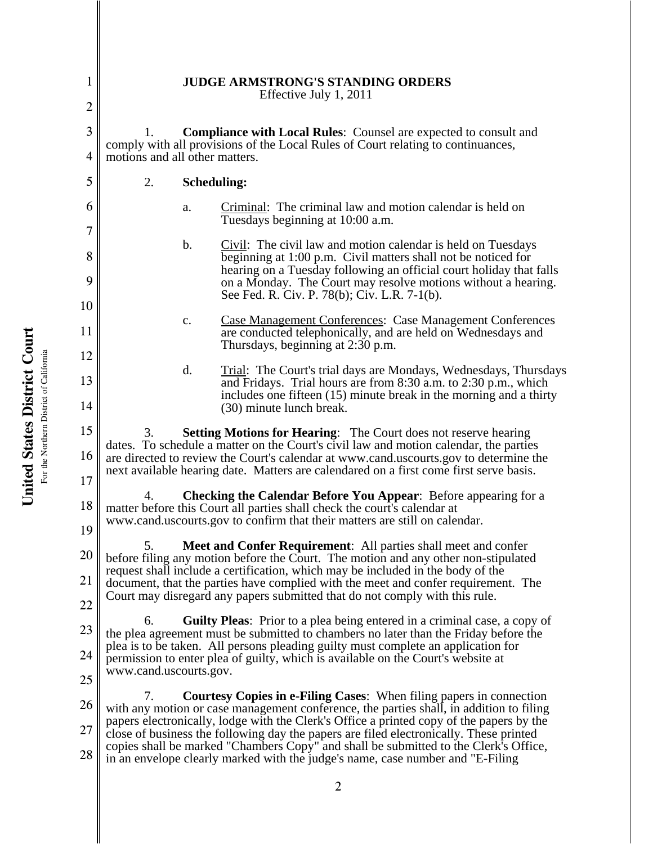1 2 3 4 5 6 7 8 9 10 11 12 13 14 15 16 17 18 19 20 21 22 23 24 25 26 27 28 **JUDGE ARMSTRONG'S STANDING ORDERS** Effective July 1, 2011 1. **Compliance with Local Rules**: Counsel are expected to consult and comply with all provisions of the Local Rules of Court relating to continuances, motions and all other matters. 2. **Scheduling:** a. Criminal: The criminal law and motion calendar is held on Tuesdays beginning at 10:00 a.m. b. Civil: The civil law and motion calendar is held on Tuesdays beginning at 1:00 p.m. Civil matters shall not be noticed for hearing on a Tuesday following an official court holiday that falls on a Monday. The Court may resolve motions without a hearing. See Fed. R. Civ. P. 78(b); Civ. L.R. 7-1(b). c. Case Management Conferences: Case Management Conferences are conducted telephonically, and are held on Wednesdays and Thursdays, beginning at 2:30 p.m. d. Trial: The Court's trial days are Mondays, Wednesdays, Thursdays and Fridays. Trial hours are from 8:30 a.m. to 2:30 p.m., which includes one fifteen (15) minute break in the morning and a thirty (30) minute lunch break. 3. **Setting Motions for Hearing**: The Court does not reserve hearing dates. To schedule a matter on the Court's civil law and motion calendar, the parties are directed to review the Court's calendar at www.cand.uscourts.gov to determine the next available hearing date. Matters are calendared on a first come first serve basis. 4. **Checking the Calendar Before You Appear**: Before appearing for a matter before this Court all parties shall check the court's calendar at www.cand.uscourts.gov to confirm that their matters are still on calendar. 5. **Meet and Confer Requirement**: All parties shall meet and confer before filing any motion before the Court. The motion and any other non-stipulated request shall include a certification, which may be included in the body of the document, that the parties have complied with the meet and confer requirement. The Court may disregard any papers submitted that do not comply with this rule. 6. **Guilty Pleas**: Prior to a plea being entered in a criminal case, a copy of the plea agreement must be submitted to chambers no later than the Friday before the plea is to be taken. All persons pleading guilty must complete an application for permission to enter plea of guilty, which is available on the Court's website at www.cand.uscourts.gov. 7. **Courtesy Copies in e-Filing Cases**: When filing papers in connection with any motion or case management conference, the parties shall, in addition to filing papers electronically, lodge with the Clerk's Office a printed copy of the papers by the close of business the following day the papers are filed electronically. These printed copies shall be marked "Chambers Copy" and shall be submitted to the Clerk's Office, in an envelope clearly marked with the judge's name, case number and "E-Filing

2

United States District Court **United States District Court** For the Northern District of California For the Northern District of California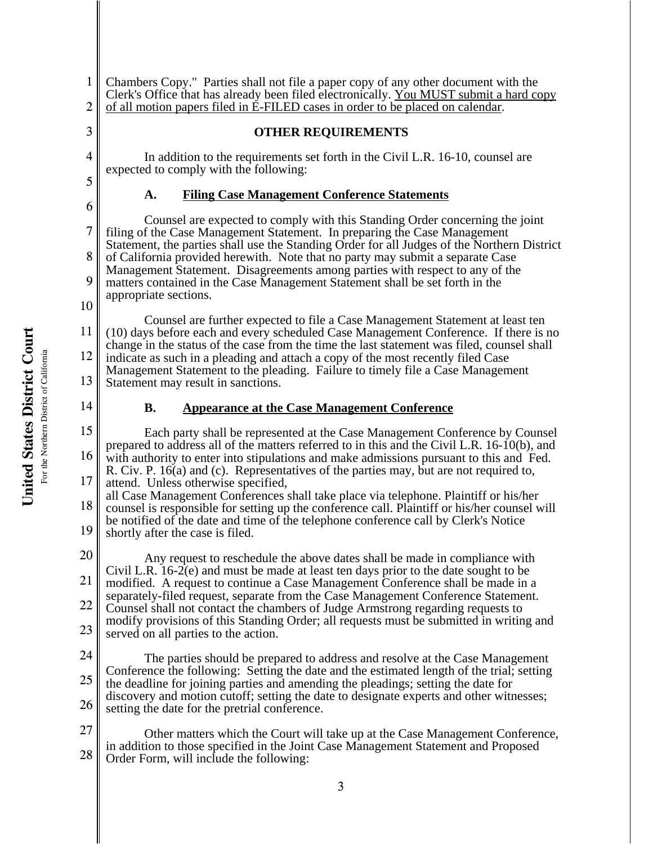For the Northern District of California For the Northern District of California

1

**United States District Court**

United States District Court

2 3 4 5 6 7 8 9 10 11 12 13 14 15 16 17 18 19 20 21 22 23 24 25 26 27 28 3 Clerk's Office that has already been filed electronically. You MUST submit a hard copy of all motion papers filed in E-FILED cases in order to be placed on calendar. **OTHER REQUIREMENTS** In addition to the requirements set forth in the Civil L.R. 16-10, counsel are expected to comply with the following: **A. Filing Case Management Conference Statements** Counsel are expected to comply with this Standing Order concerning the joint filing of the Case Management Statement. In preparing the Case Management Statement, the parties shall use the Standing Order for all Judges of the Northern District of California provided herewith. Note that no party may submit a separate Case Management Statement. Disagreements among parties with respect to any of the matters contained in the Case Management Statement shall be set forth in the appropriate sections. Counsel are further expected to file a Case Management Statement at least ten (10) days before each and every scheduled Case Management Conference. If there is no change in the status of the case from the time the last statement was filed, counsel shall indicate as such in a pleading and attach a copy of the most recently filed Case Management Statement to the pleading. Failure to timely file a Case Management Statement may result in sanctions. **B. Appearance at the Case Management Conference** Each party shall be represented at the Case Management Conference by Counsel prepared to address all of the matters referred to in this and the Civil L.R. 16-10(b), and with authority to enter into stipulations and make admissions pursuant to this and Fed. R. Civ. P. 16(a) and (c). Representatives of the parties may, but are not required to, attend. Unless otherwise specified, all Case Management Conferences shall take place via telephone. Plaintiff or his/her counsel is responsible for setting up the conference call. Plaintiff or his/her counsel will be notified of the date and time of the telephone conference call by Clerk's Notice shortly after the case is filed. Any request to reschedule the above dates shall be made in compliance with Civil L.R. 16-2(e) and must be made at least ten days prior to the date sought to be modified. A request to continue a Case Management Conference shall be made in a separately-filed request, separate from the Case Management Conference Statement. Counsel shall not contact the chambers of Judge Armstrong regarding requests to modify provisions of this Standing Order; all requests must be submitted in writing and served on all parties to the action. The parties should be prepared to address and resolve at the Case Management Conference the following: Setting the date and the estimated length of the trial; setting the deadline for joining parties and amending the pleadings; setting the date for discovery and motion cutoff; setting the date to designate experts and other witnesses; setting the date for the pretrial conference. Other matters which the Court will take up at the Case Management Conference, in addition to those specified in the Joint Case Management Statement and Proposed Order Form, will include the following:

Chambers Copy." Parties shall not file a paper copy of any other document with the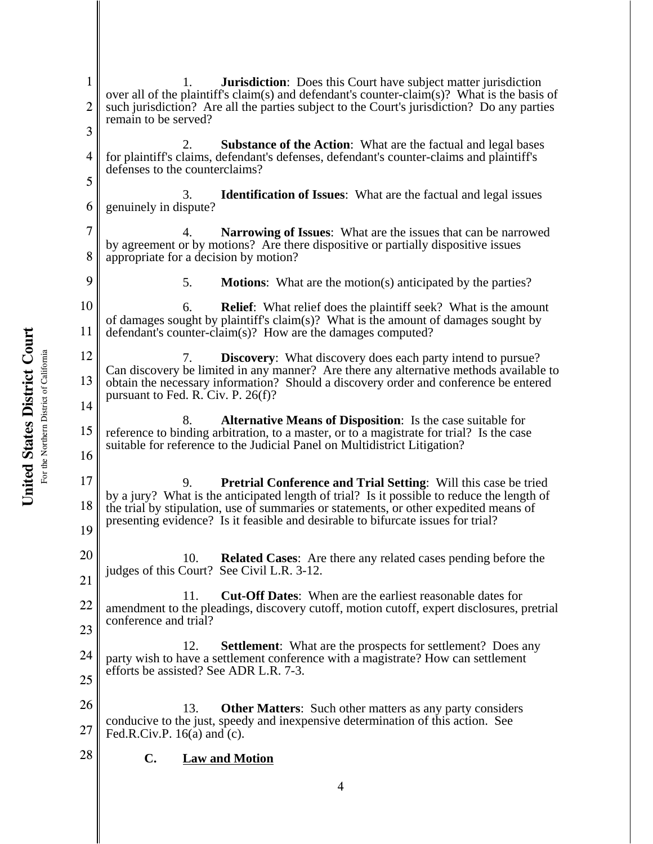1 2 3 4 5 6 7 8 9 10 11 12 13 14 15 16 17 18 19 20 21 22 23 24 25 26 27 28 1. **Jurisdiction**: Does this Court have subject matter jurisdiction over all of the plaintiff's claim(s) and defendant's counter-claim(s)? What is the basis of such jurisdiction? Are all the parties subject to the Court's jurisdiction? Do any parties remain to be served? 2. **Substance of the Action**: What are the factual and legal bases for plaintiff's claims, defendant's defenses, defendant's counter-claims and plaintiff's defenses to the counterclaims? 3. **Identification of Issues**: What are the factual and legal issues genuinely in dispute? 4. **Narrowing of Issues**: What are the issues that can be narrowed by agreement or by motions? Are there dispositive or partially dispositive issues appropriate for a decision by motion? 5. **Motions**: What are the motion(s) anticipated by the parties? 6. **Relief**: What relief does the plaintiff seek? What is the amount of damages sought by plaintiff's claim(s)? What is the amount of damages sought by defendant's counter-claim(s)? How are the damages computed? 7. **Discovery**: What discovery does each party intend to pursue? Can discovery be limited in any manner? Are there any alternative methods available to obtain the necessary information? Should a discovery order and conference be entered pursuant to Fed. R. Civ. P. 26(f)? 8. **Alternative Means of Disposition**: Is the case suitable for reference to binding arbitration, to a master, or to a magistrate for trial? Is the case suitable for reference to the Judicial Panel on Multidistrict Litigation? 9. **Pretrial Conference and Trial Setting**: Will this case be tried by a jury? What is the anticipated length of trial? Is it possible to reduce the length of the trial by stipulation, use of summaries or statements, or other expedited means of presenting evidence? Is it feasible and desirable to bifurcate issues for trial? 10. **Related Cases**: Are there any related cases pending before the judges of this Court? See Civil L.R. 3-12. 11. **Cut-Off Dates**: When are the earliest reasonable dates for amendment to the pleadings, discovery cutoff, motion cutoff, expert disclosures, pretrial conference and trial? 12. **Settlement**: What are the prospects for settlement? Does any party wish to have a settlement conference with a magistrate? How can settlement efforts be assisted? See ADR L.R. 7-3. 13. **Other Matters**: Such other matters as any party considers conducive to the just, speedy and inexpensive determination of this action. See Fed.R.Civ.P.  $16(a)$  and  $(c)$ . **C. Law and Motion**

United States District Court **United States District Court** For the Northern District of California For the Northern District of California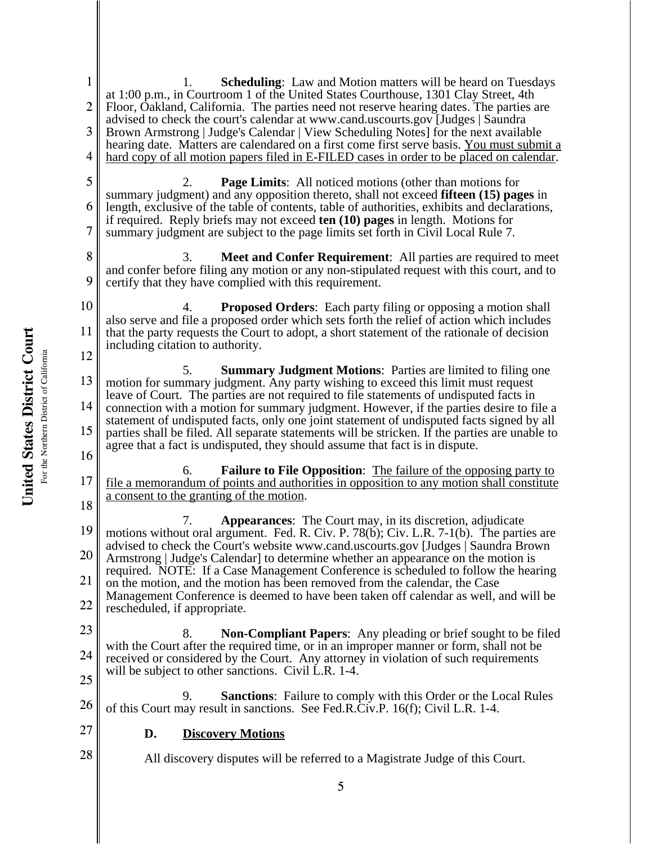United States District Court **United States District Court** For the Northern District of California For the Northern District of California

1 2 3 4 5 6 7 8 9 10 11 12 13 14 15 16 17 18 19 20 21 22 23 24 25 26 27 28 5 1. **Scheduling**: Law and Motion matters will be heard on Tuesdays at 1:00 p.m., in Courtroom 1 of the United States Courthouse, 1301 Clay Street, 4th Floor, Oakland, California. The parties need not reserve hearing dates. The parties are advised to check the court's calendar at www.cand.uscourts.gov [Judges | Saundra Brown Armstrong | Judge's Calendar | View Scheduling Notes] for the next available hearing date. Matters are calendared on a first come first serve basis. You must submit a hard copy of all motion papers filed in E-FILED cases in order to be placed on calendar. 2. **Page Limits**: All noticed motions (other than motions for summary judgment) and any opposition thereto, shall not exceed **fifteen (15) pages** in length, exclusive of the table of contents, table of authorities, exhibits and declarations, if required. Reply briefs may not exceed **ten (10) pages** in length. Motions for summary judgment are subject to the page limits set forth in Civil Local Rule 7. 3. **Meet and Confer Requirement**: All parties are required to meet and confer before filing any motion or any non-stipulated request with this court, and to certify that they have complied with this requirement. 4. **Proposed Orders**: Each party filing or opposing a motion shall also serve and file a proposed order which sets forth the relief of action which includes that the party requests the Court to adopt, a short statement of the rationale of decision including citation to authority. 5. **Summary Judgment Motions**: Parties are limited to filing one motion for summary judgment. Any party wishing to exceed this limit must request leave of Court. The parties are not required to file statements of undisputed facts in connection with a motion for summary judgment. However, if the parties desire to file a statement of undisputed facts, only one joint statement of undisputed facts signed by all parties shall be filed. All separate statements will be stricken. If the parties are unable to agree that a fact is undisputed, they should assume that fact is in dispute. 6. **Failure to File Opposition**: The failure of the opposing party to file a memorandum of points and authorities in opposition to any motion shall constitute a consent to the granting of the motion. 7. **Appearances**: The Court may, in its discretion, adjudicate motions without oral argument. Fed. R. Civ. P. 78(b); Civ. L.R. 7-1(b). The parties are advised to check the Court's website www.cand.uscourts.gov [Judges | Saundra Brown Armstrong | Judge's Calendar] to determine whether an appearance on the motion is required. NOTE: If a Case Management Conference is scheduled to follow the hearing on the motion, and the motion has been removed from the calendar, the Case Management Conference is deemed to have been taken off calendar as well, and will be rescheduled, if appropriate. 8. **Non-Compliant Papers**: Any pleading or brief sought to be filed with the Court after the required time, or in an improper manner or form, shall not be received or considered by the Court. Any attorney in violation of such requirements will be subject to other sanctions. Civil L.R. 1-4. 9. **Sanctions**: Failure to comply with this Order or the Local Rules of this Court may result in sanctions. See Fed.R.Civ.P. 16(f); Civil L.R. 1-4. **D. Discovery Motions** All discovery disputes will be referred to a Magistrate Judge of this Court.